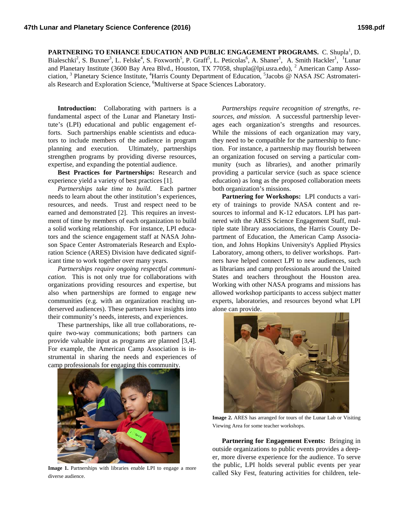PARTNERING TO ENHANCE EDUCATION AND PUBLIC ENGAGEMENT PROGRAMS. C. Shupla<sup>1</sup>, D. Bialeschki<sup>2</sup>, S. Buxner<sup>3</sup>, L. Felske<sup>4</sup>, S. Foxworth<sup>5</sup>, P. Graff<sup>5</sup>, L. Peticolas<sup>6</sup>, A. Shaner<sup>1</sup>, A. Smith Hackler<sup>1</sup>, <sup>1</sup>Lunar and Planetary Institute (3600 Bay Area Blvd., Houston, TX 77058, shupla@lpi.usra.edu), <sup>2</sup> American Camp Association, <sup>3</sup> Planetary Science Institute, <sup>4</sup>Harris County Department of Education, <sup>5</sup>Jacobs @ NASA JSC Astromaterials Research and Exploration Science, <sup>6</sup>Multiverse at Space Sciences Laboratory.

**Introduction:** Collaborating with partners is a fundamental aspect of the Lunar and Planetary Institute's (LPI) educational and public engagement efforts. Such partnerships enable scientists and educators to include members of the audience in program planning and execution. Ultimately, partnerships strengthen programs by providing diverse resources, expertise, and expanding the potential audience.

**Best Practices for Partnerships:** Research and experience yield a variety of best practices [1].

*Partnerships take time to build*. Each partner needs to learn about the other institution's experiences, resources, and needs. Trust and respect need to be earned and demonstrated [2]. This requires an investment of time by members of each organization to build a solid working relationship. For instance, LPI educators and the science engagement staff at NASA Johnson Space Center Astromaterials Research and Exploration Science (ARES) Division have dedicated significant time to work together over many years.

*Partnerships require ongoing respectful communication.* This is not only true for collaborations with organizations providing resources and expertise, but also when partnerships are formed to engage new communities (e.g. with an organization reaching underserved audiences). These partners have insights into their community's needs, interests, and experiences.

These partnerships, like all true collaborations, require two-way communications; both partners can provide valuable input as programs are planned [3,4]. For example, the American Camp Association is instrumental in sharing the needs and experiences of camp professionals for engaging this community.



**Image 1.** Partnerships with libraries enable LPI to engage a more diverse audience.

*Partnerships require recognition of strengths, resources, and mission.* A successful partnership leverages each organization's strengths and resources. While the missions of each organization may vary, they need to be compatible for the partnership to function. For instance, a partnership may flourish between an organization focused on serving a particular community (such as libraries), and another primarily providing a particular service (such as space science education) as long as the proposed collaboration meets both organization's missions.

**Partnering for Workshops:** LPI conducts a variety of trainings to provide NASA content and resources to informal and K-12 educators. LPI has partnered with the ARES Science Engagement Staff, multiple state library associations, the Harris County Department of Education, the American Camp Association, and Johns Hopkins University's Applied Physics Laboratory, among others, to deliver workshops. Partners have helped connect LPI to new audiences, such as librarians and camp professionals around the United States and teachers throughout the Houston area. Working with other NASA programs and missions has allowed workshop participants to access subject matter experts, laboratories, and resources beyond what LPI alone can provide.



**Image 2.** ARES has arranged for tours of the Lunar Lab or Visiting Viewing Area for some teacher workshops.

**Partnering for Engagement Events:** Bringing in outside organizations to public events provides a deeper, more diverse experience for the audience. To serve the public, LPI holds several public events per year called Sky Fest, featuring activities for children, tele